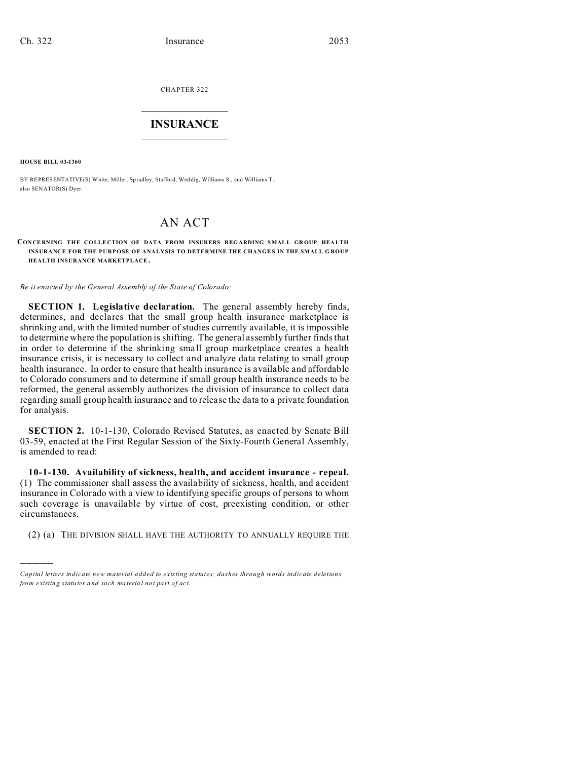CHAPTER 322  $\overline{\phantom{a}}$  , where  $\overline{\phantom{a}}$ 

## **INSURANCE**  $\_$   $\_$   $\_$   $\_$   $\_$   $\_$   $\_$   $\_$

**HOUSE BILL 03-1360**

)))))

BY REPRESENTATIVE(S) White, Miller, Spradley, Stafford, Wed dig, Williams S., and Williams T.; also SENATOR(S) Dyer.

## AN ACT

**CONCERNING THE COLLECTION OF DATA FROM INSURERS REGARDING SMALL GROUP HEALTH INSURANCE FOR THE PURPOSE OF ANALYSIS TO DETERMINE THE CHANGES IN THE SMALL G ROUP HEALTH INSURANCE MARKETPLACE .**

*Be it enacted by the General Assembly of the State of Colorado:*

**SECTION 1. Legislative declaration.** The general assembly hereby finds, determines, and declares that the small group health insurance marketplace is shrinking and, with the limited number of studies currently available, it is impossible to determine where the population is shifting. The general assembly further finds that in order to determine if the shrinking small group marketplace creates a health insurance crisis, it is necessary to collect and analyze data relating to small group health insurance. In order to ensure that health insurance is available and affordable to Colorado consumers and to determine if small group health insurance needs to be reformed, the general assembly authorizes the division of insurance to collect data regarding small group health insurance and to release the data to a private foundation for analysis.

**SECTION 2.** 10-1-130, Colorado Revised Statutes, as enacted by Senate Bill 03-59, enacted at the First Regular Session of the Sixty-Fourth General Assembly, is amended to read:

**10-1-130. Availability of sickness, health, and accident insurance - repeal.** (1) The commissioner shall assess the availability of sickness, health, and accident insurance in Colorado with a view to identifying specific groups of persons to whom such coverage is unavailable by virtue of cost, preexisting condition, or other circumstances.

(2) (a) THE DIVISION SHALL HAVE THE AUTHORITY TO ANNUALLY REQUIRE THE

*Capital letters indicate new material added to existing statutes; dashes through words indicate deletions from e xistin g statu tes a nd such ma teria l no t pa rt of ac t.*